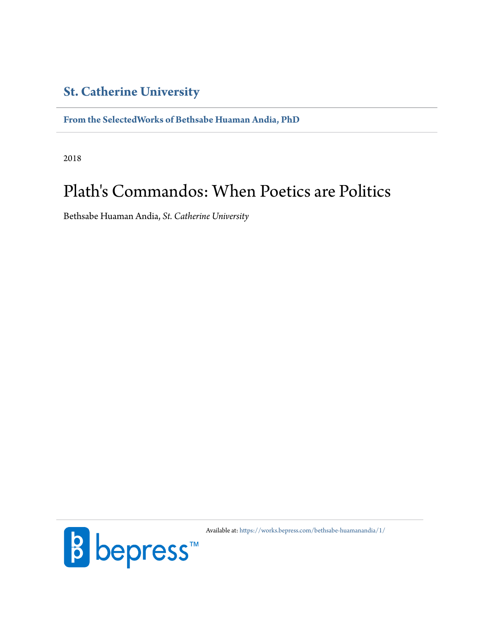# **[St. Catherine University](http://www.stkate.edu/)**

**[From the SelectedWorks of Bethsabe Huaman Andia, PhD](https://works.bepress.com/bethsabe-huamanandia/)**

2018

# Plath's Commandos: When Poetics are Politics

Bethsabe Huaman Andia, *St. Catherine University*



Available at: <https://works.bepress.com/bethsabe-huamanandia/1/>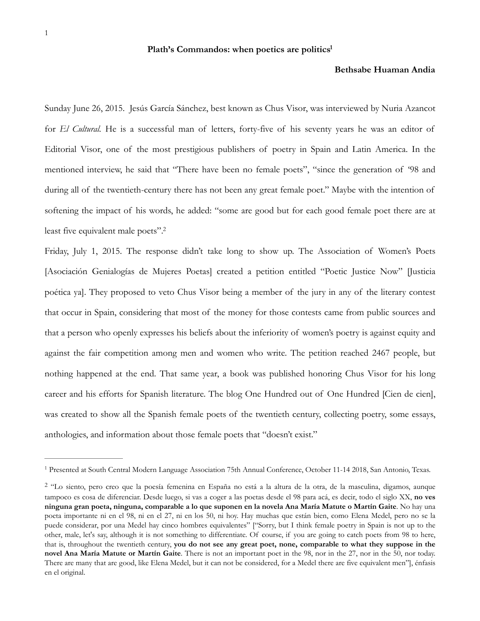#### Plath's Commandos: when poetics are politics<sup>1</sup>

### <span id="page-1-2"></span>**Bethsabe Huaman Andia**

Sunday June 26, 2015. Jesús García Sánchez, best known as Chus Visor, was interviewed by Nuria Azancot for *El Cultural.* He is a successful man of letters, forty-five of his seventy years he was an editor of Editorial Visor, one of the most prestigious publishers of poetry in Spain and Latin America. In the mentioned interview, he said that "There have been no female poets", "since the generation of '98 and during all of the twentieth-century there has not been any great female poet." Maybe with the intention of softening the impact of his words, he added: "some are good but for each good female poet there are at least five equivalent male poets"[.2](#page-1-1)

<span id="page-1-3"></span>Friday, July 1, 2015. The response didn't take long to show up. The Association of Women's Poets [Asociación Genialogías de Mujeres Poetas] created a petition entitled "Poetic Justice Now" [Justicia poética ya]. They proposed to veto Chus Visor being a member of the jury in any of the literary contest that occur in Spain, considering that most of the money for those contests came from public sources and that a person who openly expresses his beliefs about the inferiority of women's poetry is against equity and against the fair competition among men and women who write. The petition reached 2467 people, but nothing happened at the end. That same year, a book was published honoring Chus Visor for his long career and his efforts for Spanish literature. The blog One Hundred out of One Hundred [Cien de cien], was created to show all the Spanish female poets of the twentieth century, collecting poetry, some essays, anthologies, and information about those female poets that "doesn't exist."

<span id="page-1-0"></span><sup>&</sup>lt;sup>[1](#page-1-2)</sup> Presented at South Central Modern Language Association 75th Annual Conference, October 11-14 2018, San Antonio, Texas.

<span id="page-1-1"></span><sup>&</sup>lt;sup>[2](#page-1-3)</sup> "Lo siento, pero creo que la poesía femenina en España no está a la altura de la otra, de la masculina, digamos, aunque tampoco es cosa de diferenciar. Desde luego, si vas a coger a las poetas desde el 98 para acá, es decir, todo el siglo XX, **no ves ninguna gran poeta, ninguna, comparable a lo que suponen en la novela Ana María Matute o Martín Gaite**. No hay una poeta importante ni en el 98, ni en el 27, ni en los 50, ni hoy. Hay muchas que están bien, como Elena Medel, pero no se la puede considerar, por una Medel hay cinco hombres equivalentes" ["Sorry, but I think female poetry in Spain is not up to the other, male, let's say, although it is not something to differentiate. Of course, if you are going to catch poets from 98 to here, that is, throughout the twentieth century, **you do not see any great poet, none, comparable to what they suppose in the novel Ana María Matute or Martín Gaite**. There is not an important poet in the 98, nor in the 27, nor in the 50, nor today. There are many that are good, like Elena Medel, but it can not be considered, for a Medel there are five equivalent men"], énfasis en el original.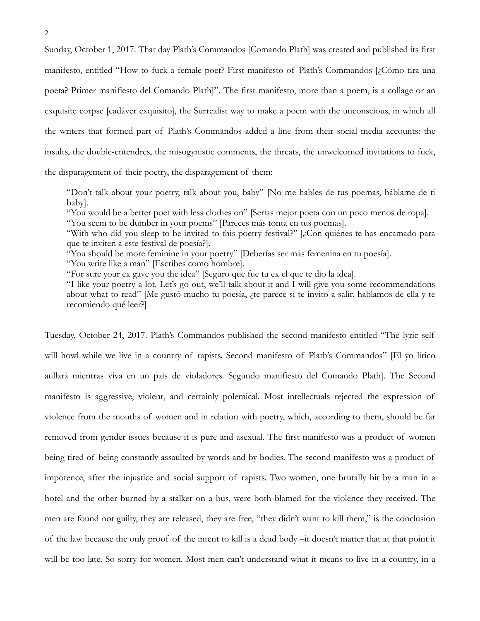Sunday, October 1, 2017. That day Plath's Commandos [Comando Plath] was created and published its first manifesto, entitled "How to fuck a female poet? First manifesto of Plath's Commandos [¿Cómo tira una poeta? Primer manifiesto del Comando Plath]". The first manifesto, more than a poem, is a collage or an exquisite corpse [cadáver exquisito], the Surrealist way to make a poem with the unconscious, in which all the writers that formed part of Plath's Commandos added a line from their social media accounts: the insults, the double-entendres, the misogynistic comments, the threats, the unwelcomed invitations to fuck, the disparagement of their poetry, the disparagement of them:

"Don't talk about your poetry, talk about you, baby" [No me hables de tus poemas, háblame de ti baby].

"You would be a better poet with less clothes on" [Serías mejor poeta con un poco menos de ropa]. "You seem to be dumber in your poems" [Pareces más tonta en tus poemas].

"With who did you sleep to be invited to this poetry festival?" [¿Con quiénes te has encamado para que te inviten a este festival de poesía?].

"You should be more feminine in your poetry" [Deberías ser más femenina en tu poesía].

"You write like a man" [Escribes como hombre].

"For sure your ex gave you the idea" [Seguro que fue tu ex el que te dio la idea].

"I like your poetry a lot. Let's go out, we'll talk about it and I will give you some recommendations about what to read" [Me gustó mucho tu poesía, ¿te parece si te invito a salir, hablamos de ella y te recomiendo qué leer?]

Tuesday, October 24, 2017. Plath's Commandos published the second manifesto entitled "The lyric self will howl while we live in a country of rapists. Second manifesto of Plath's Commandos" [El yo lírico aullará mientras viva en un país de violadores. Segundo manifiesto del Comando Plath]. The Second manifesto is aggressive, violent, and certainly polemical. Most intellectuals rejected the expression of violence from the mouths of women and in relation with poetry, which, according to them, should be far removed from gender issues because it is pure and asexual. The first manifesto was a product of women being tired of being constantly assaulted by words and by bodies. The second manifesto was a product of impotence, after the injustice and social support of rapists. Two women, one brutally hit by a man in a hotel and the other burned by a stalker on a bus, were both blamed for the violence they received. The men are found not guilty, they are released, they are free, "they didn't want to kill them," is the conclusion of the law because the only proof of the intent to kill is a dead body –it doesn't matter that at that point it will be too late. So sorry for women. Most men can't understand what it means to live in a country, in a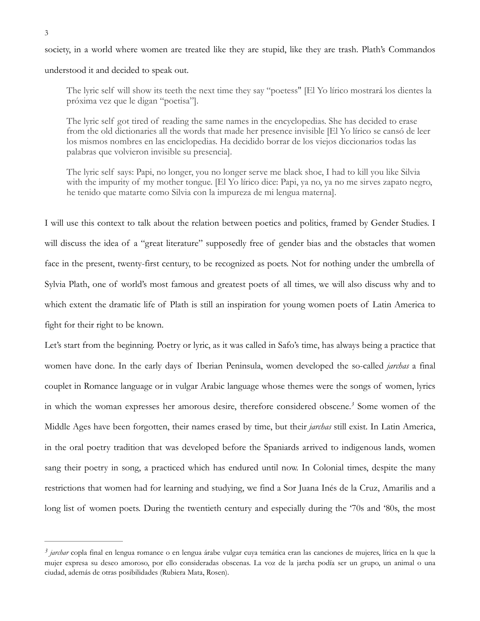3

society, in a world where women are treated like they are stupid, like they are trash. Plath's Commandos

understood it and decided to speak out.

The lyric self will show its teeth the next time they say "poetess" [El Yo lírico mostrará los dientes la próxima vez que le digan "poetisa"].

The lyric self got tired of reading the same names in the encyclopedias. She has decided to erase from the old dictionaries all the words that made her presence invisible [El Yo lírico se cansó de leer los mismos nombres en las enciclopedias. Ha decidido borrar de los viejos diccionarios todas las palabras que volvieron invisible su presencia].

The lyric self says: Papi, no longer, you no longer serve me black shoe, I had to kill you like Silvia with the impurity of my mother tongue. [El Yo lírico dice: Papi, ya no, ya no me sirves zapato negro, he tenido que matarte como Silvia con la impureza de mi lengua materna].

I will use this context to talk about the relation between poetics and politics, framed by Gender Studies. I will discuss the idea of a "great literature" supposedly free of gender bias and the obstacles that women face in the present, twenty-first century, to be recognized as poets. Not for nothing under the umbrella of Sylvia Plath, one of world's most famous and greatest poets of all times, we will also discuss why and to which extent the dramatic life of Plath is still an inspiration for young women poets of Latin America to fight for their right to be known.

<span id="page-3-1"></span>Let's start from the beginning. Poetry or lyric, as it was called in Safo's time, has always being a practice that women have done. In the early days of Iberian Peninsula, women developed the so-called *jarchas* a final couplet in Romance language or in vulgar Arabic language whose themes were the songs of women, lyrics in which the woman expresses her amorous desire, therefore considered obscene[.](#page-3-0)<sup>3</sup> Some women of the Middle Ages have been forgotten, their names erased by time, but their *jarchas* still exist. In Latin America, in the oral poetry tradition that was developed before the Spaniards arrived to indigenous lands, women sang their poetry in song, a practiced which has endured until now. In Colonial times, despite the many restrictions that women had for learning and studying, we find a Sor Juana Inés de la Cruz, Amarilis and a long list of women poets. During the twentieth century and especially during the '70s and '80s, the most

<span id="page-3-0"></span>*jarchar* copla final en lengua romance o en lengua árabe vulgar cuya temática eran las canciones de mujeres, lírica en la que la *[3](#page-3-1)* mujer expresa su deseo amoroso, por ello consideradas obscenas. La voz de la jarcha podía ser un grupo, un animal o una ciudad, además de otras posibilidades (Rubiera Mata, Rosen).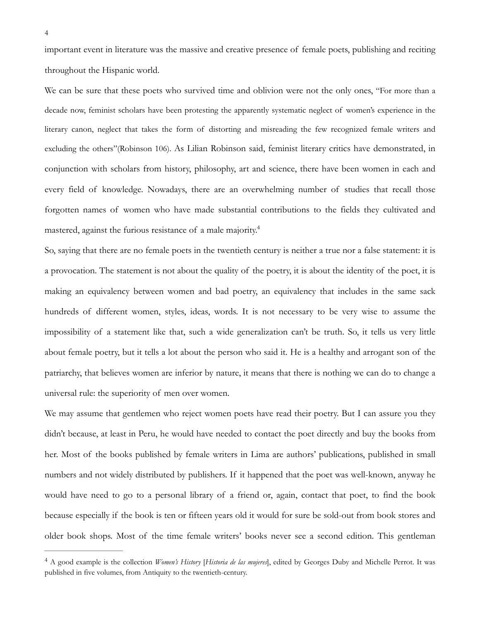important event in literature was the massive and creative presence of female poets, publishing and reciting throughout the Hispanic world.

We can be sure that these poets who survived time and oblivion were not the only ones, "For more than a decade now, feminist scholars have been protesting the apparently systematic neglect of women's experience in the literary canon, neglect that takes the form of distorting and misreading the few recognized female writers and excluding the others"(Robinson 106). As Lilian Robinson said, feminist literary critics have demonstrated, in conjunction with scholars from history, philosophy, art and science, there have been women in each and every field of knowledge. Nowadays, there are an overwhelming number of studies that recall those forgotten names of women who have made substantial contributions to the fields they cultivated and mastered, against the furious resistance of a male majority[.](#page-4-0)<sup>[4](#page-4-0)</sup>

<span id="page-4-1"></span>So, saying that there are no female poets in the twentieth century is neither a true nor a false statement: it is a provocation. The statement is not about the quality of the poetry, it is about the identity of the poet, it is making an equivalency between women and bad poetry, an equivalency that includes in the same sack hundreds of different women, styles, ideas, words. It is not necessary to be very wise to assume the impossibility of a statement like that, such a wide generalization can't be truth. So, it tells us very little about female poetry, but it tells a lot about the person who said it. He is a healthy and arrogant son of the patriarchy, that believes women are inferior by nature, it means that there is nothing we can do to change a universal rule: the superiority of men over women.

We may assume that gentlemen who reject women poets have read their poetry. But I can assure you they didn't because, at least in Peru, he would have needed to contact the poet directly and buy the books from her. Most of the books published by female writers in Lima are authors' publications, published in small numbers and not widely distributed by publishers. If it happened that the poet was well-known, anyway he would have need to go to a personal library of a friend or, again, contact that poet, to find the book because especially if the book is ten or fifteen years old it would for sure be sold-out from book stores and older book shops. Most of the time female writers' books never see a second edition. This gentleman

<span id="page-4-0"></span>A good example is the collection *Women's History* [*Historia de las mujeres*], edited by Georges Duby and Michelle Perrot. It was [4](#page-4-1) published in five volumes, from Antiquity to the twentieth-century.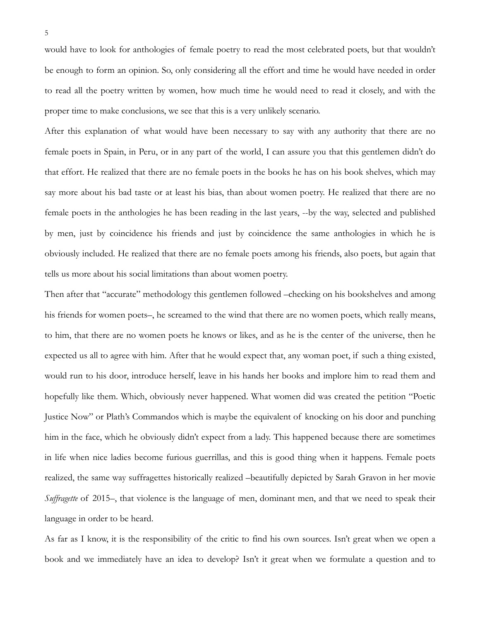would have to look for anthologies of female poetry to read the most celebrated poets, but that wouldn't be enough to form an opinion. So, only considering all the effort and time he would have needed in order to read all the poetry written by women, how much time he would need to read it closely, and with the proper time to make conclusions, we see that this is a very unlikely scenario.

After this explanation of what would have been necessary to say with any authority that there are no female poets in Spain, in Peru, or in any part of the world, I can assure you that this gentlemen didn't do that effort. He realized that there are no female poets in the books he has on his book shelves, which may say more about his bad taste or at least his bias, than about women poetry. He realized that there are no female poets in the anthologies he has been reading in the last years, --by the way, selected and published by men, just by coincidence his friends and just by coincidence the same anthologies in which he is obviously included. He realized that there are no female poets among his friends, also poets, but again that tells us more about his social limitations than about women poetry.

Then after that "accurate" methodology this gentlemen followed –checking on his bookshelves and among his friends for women poets–, he screamed to the wind that there are no women poets, which really means, to him, that there are no women poets he knows or likes, and as he is the center of the universe, then he expected us all to agree with him. After that he would expect that, any woman poet, if such a thing existed, would run to his door, introduce herself, leave in his hands her books and implore him to read them and hopefully like them. Which, obviously never happened. What women did was created the petition "Poetic Justice Now" or Plath's Commandos which is maybe the equivalent of knocking on his door and punching him in the face, which he obviously didn't expect from a lady. This happened because there are sometimes in life when nice ladies become furious guerrillas, and this is good thing when it happens. Female poets realized, the same way suffragettes historically realized –beautifully depicted by Sarah Gravon in her movie *Suffragette* of 2015–, that violence is the language of men, dominant men, and that we need to speak their language in order to be heard.

As far as I know, it is the responsibility of the critic to find his own sources. Isn't great when we open a book and we immediately have an idea to develop? Isn't it great when we formulate a question and to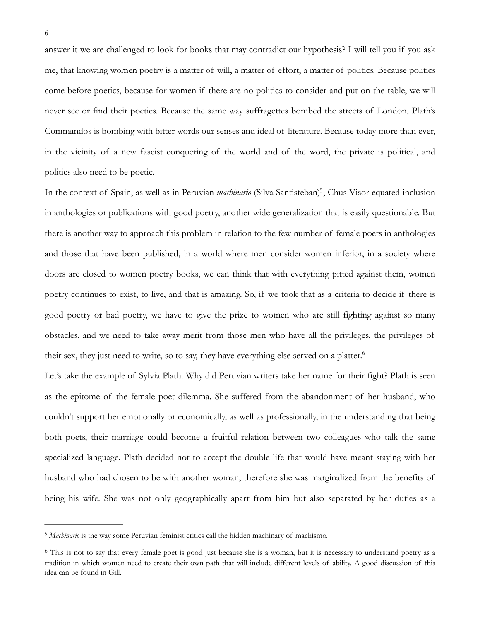answer it we are challenged to look for books that may contradict our hypothesis? I will tell you if you ask me, that knowing women poetry is a matter of will, a matter of effort, a matter of politics. Because politics come before poetics, because for women if there are no politics to consider and put on the table, we will never see or find their poetics. Because the same way suffragettes bombed the streets of London, Plath's Commandos is bombing with bitter words our senses and ideal of literature. Because today more than ever, in the vicinity of a new fascist conquering of the world and of the word, the private is political, and politics also need to be poetic.

<span id="page-6-2"></span>In the context of Spain, as well as in Peruvian *machinario* (Silva Santisteban)<sup>[5](#page-6-0)</sup>, Chus Visor equated inclusion in anthologies or publications with good poetry, another wide generalization that is easily questionable. But there is another way to approach this problem in relation to the few number of female poets in anthologies and those that have been published, in a world where men consider women inferior, in a society where doors are closed to women poetry books, we can think that with everything pitted against them, women poetry continues to exist, to live, and that is amazing. So, if we took that as a criteria to decide if there is good poetry or bad poetry, we have to give the prize to women who are still fighting against so many obstacles, and we need to take away merit from those men who have all the privileges, the privileges of their sex, they just need to write, so to say, they have everything else served on a platter.<sup>6</sup>

<span id="page-6-3"></span>Let's take the example of Sylvia Plath. Why did Peruvian writers take her name for their fight? Plath is seen as the epitome of the female poet dilemma. She suffered from the abandonment of her husband, who couldn't support her emotionally or economically, as well as professionally, in the understanding that being both poets, their marriage could become a fruitful relation between two colleagues who talk the same specialized language. Plath decided not to accept the double life that would have meant staying with her husband who had chosen to be with another woman, therefore she was marginalized from the benefits of being his wife. She was not only geographically apart from him but also separated by her duties as a

<span id="page-6-0"></span><sup>&</sup>lt;sup>[5](#page-6-2)</sup> Machinario is the way some Peruvian feminist critics call the hidden machinary of machismo.

<span id="page-6-1"></span> $\delta$  This is not to say that every female poet is good just because she is a woman, but it is necessary to understand poetry as a tradition in which women need to create their own path that will include different levels of ability. A good discussion of this idea can be found in Gill.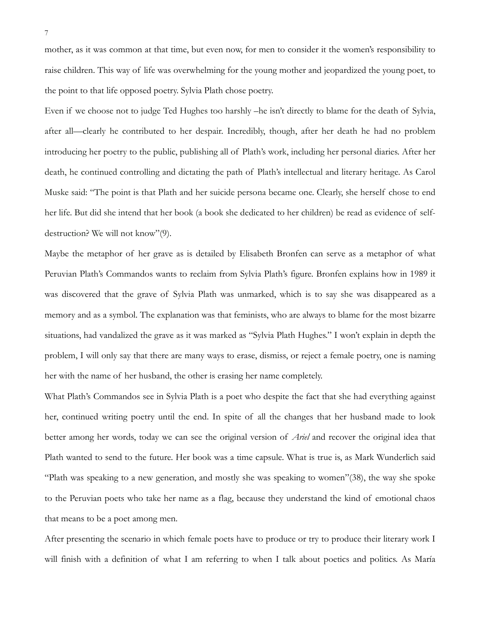mother, as it was common at that time, but even now, for men to consider it the women's responsibility to raise children. This way of life was overwhelming for the young mother and jeopardized the young poet, to the point to that life opposed poetry. Sylvia Plath chose poetry.

Even if we choose not to judge Ted Hughes too harshly –he isn't directly to blame for the death of Sylvia, after all—clearly he contributed to her despair. Incredibly, though, after her death he had no problem introducing her poetry to the public, publishing all of Plath's work, including her personal diaries. After her death, he continued controlling and dictating the path of Plath's intellectual and literary heritage. As Carol Muske said: "The point is that Plath and her suicide persona became one. Clearly, she herself chose to end her life. But did she intend that her book (a book she dedicated to her children) be read as evidence of selfdestruction? We will not know"(9).

Maybe the metaphor of her grave as is detailed by Elisabeth Bronfen can serve as a metaphor of what Peruvian Plath's Commandos wants to reclaim from Sylvia Plath's figure. Bronfen explains how in 1989 it was discovered that the grave of Sylvia Plath was unmarked, which is to say she was disappeared as a memory and as a symbol. The explanation was that feminists, who are always to blame for the most bizarre situations, had vandalized the grave as it was marked as "Sylvia Plath Hughes." I won't explain in depth the problem, I will only say that there are many ways to erase, dismiss, or reject a female poetry, one is naming her with the name of her husband, the other is erasing her name completely.

What Plath's Commandos see in Sylvia Plath is a poet who despite the fact that she had everything against her, continued writing poetry until the end. In spite of all the changes that her husband made to look better among her words, today we can see the original version of *Ariel* and recover the original idea that Plath wanted to send to the future. Her book was a time capsule. What is true is, as Mark Wunderlich said "Plath was speaking to a new generation, and mostly she was speaking to women"(38), the way she spoke to the Peruvian poets who take her name as a flag, because they understand the kind of emotional chaos that means to be a poet among men.

After presenting the scenario in which female poets have to produce or try to produce their literary work I will finish with a definition of what I am referring to when I talk about poetics and politics. As María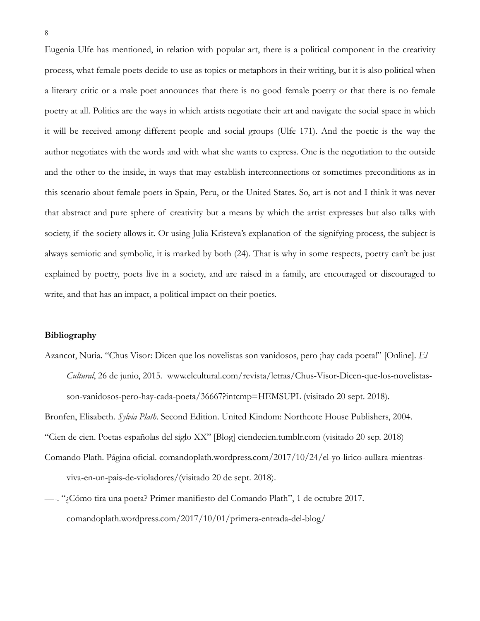Eugenia Ulfe has mentioned, in relation with popular art, there is a political component in the creativity process, what female poets decide to use as topics or metaphors in their writing, but it is also political when a literary critic or a male poet announces that there is no good female poetry or that there is no female poetry at all. Politics are the ways in which artists negotiate their art and navigate the social space in which it will be received among different people and social groups (Ulfe 171). And the poetic is the way the author negotiates with the words and with what she wants to express. One is the negotiation to the outside and the other to the inside, in ways that may establish interconnections or sometimes preconditions as in this scenario about female poets in Spain, Peru, or the United States. So, art is not and I think it was never that abstract and pure sphere of creativity but a means by which the artist expresses but also talks with society, if the society allows it. Or using Julia Kristeva's explanation of the signifying process, the subject is always semiotic and symbolic, it is marked by both (24). That is why in some respects, poetry can't be just explained by poetry, poets live in a society, and are raised in a family, are encouraged or discouraged to write, and that has an impact, a political impact on their poetics.

## **Bibliography**

Azancot, Nuria. "Chus Visor: Dicen que los novelistas son vanidosos, pero ¡hay cada poeta!" [Online]. *El Cultural*, 26 de junio, 2015. www.elcultural.com/revista/letras/Chus-Visor-Dicen-que-los-novelistasson-vanidosos-pero-hay-cada-poeta/36667?intcmp=HEMSUPL (visitado 20 sept. 2018).

Bronfen, Elisabeth. *Sylvia Plath*. Second Edition. United Kindom: Northcote House Publishers, 2004.

"Cien de cien. Poetas españolas del siglo XX" [Blog] ciendecien.tumblr.com (visitado 20 sep. 2018)

- Comando Plath. Página oficial. comandoplath.wordpress.com/2017/10/24/el-yo-lirico-aullara-mientrasviva-en-un-pais-de-violadores/(visitado 20 de sept. 2018).
- —-. "¿Cómo tira una poeta? Primer manifiesto del Comando Plath", 1 de octubre 2017. comandoplath.wordpress.com/2017/10/01/primera-entrada-del-blog/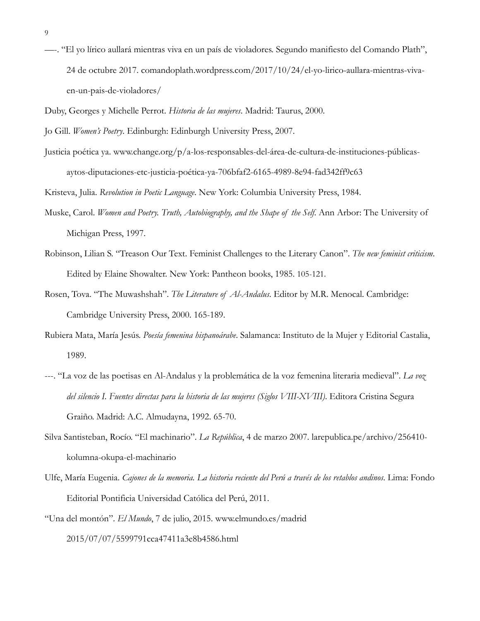- —-. "El yo lírico aullará mientras viva en un país de violadores. Segundo manifiesto del Comando Plath", 24 de octubre 2017. comandoplath.wordpress.com/2017/10/24/el-yo-lirico-aullara-mientras-vivaen-un-pais-de-violadores/
- Duby, Georges y Michelle Perrot. *Historia de las mujeres*. Madrid: Taurus, 2000.
- Jo Gill. *Women's Poetry*. Edinburgh: Edinburgh University Press, 2007.
- Justicia poética ya. www.change.org/p/a-los-responsables-del-área-de-cultura-de-instituciones-públicasaytos-diputaciones-etc-justicia-poética-ya-706bfaf2-6165-4989-8e94-fad342ff9c63

Kristeva, Julia. *Revolution in Poetic Language*. New York: Columbia University Press, 1984.

- Muske, Carol. *Women and Poetry. Truth, Autobiography, and the Shape of the Self*. Ann Arbor: The University of Michigan Press, 1997.
- Robinson, Lilian S. "Treason Our Text. Feminist Challenges to the Literary Canon". *The new feminist criticism*. Edited by Elaine Showalter. New York: Pantheon books, 1985. 105-121.
- Rosen, Tova. "The Muwashshah". *The Literature of Al-Andalus*. Editor by M.R. Menocal. Cambridge: Cambridge University Press, 2000. 165-189.
- Rubiera Mata, María Jesús. *Poesía femenina hispanoárabe*. Salamanca: Instituto de la Mujer y Editorial Castalia, 1989.
- ---. "La voz de las poetisas en Al-Andalus y la problemática de la voz femenina literaria medieval". *La voz del silencio I. Fuentes directas para la historia de las mujeres (Siglos VIII-XVIII)*. Editora Cristina Segura Graiño. Madrid: A.C. Almudayna, 1992. 65-70.
- Silva Santisteban, Rocío. "El machinario". *La República*, 4 de marzo 2007. larepublica.pe/archivo/256410 kolumna-okupa-el-machinario
- Ulfe, María Eugenia. *Cajones de la memoria. La historia reciente del Perú a través de los retablos andinos*. Lima: Fondo Editorial Pontificia Universidad Católica del Perú, 2011.
- "Una del montón". *El Mundo*, 7 de julio, 2015. www.elmundo.es/madrid 2015/07/07/5599791cca47411a3e8b4586.html